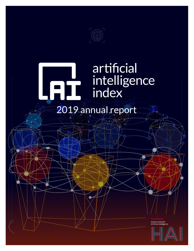

# artificial intelligence index

2019 annual report

Human-Centered<br>Artificial Intelligence

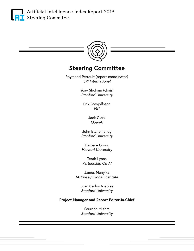



## **Steering Committee**

Raymond Perrault (report coordinator) *SRI International* 

> Yoav Shoham (chair) *Stanford University*

Erik Brynjolfsson *MIT*

> Jack Clark *OpenAI*

John Etchemendy *Stanford University* 

Barbara Grosz *Harvard University* 

Terah Lyons *Partnership On AI* 

James Manyika *McKinsey Global Institute* 

> Juan Carlos Niebles *Stanford University*

## **Project Manager and Report Editor-in-Chief**

Saurabh Mishra *Stanford University*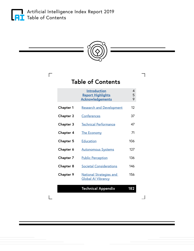<span id="page-2-0"></span>

 $\overline{\Gamma}$ 

 $\mathbf{L}$ 



**Table of Contents**

┓

 $\Box$ 

|                  | <b>Introduction</b><br><b>Report Highlights</b><br><b>Acknowledgements</b> | 4<br>5<br>9 |
|------------------|----------------------------------------------------------------------------|-------------|
| <b>Chapter 1</b> | <b>Research and Development</b>                                            | 12          |
| <b>Chapter 2</b> | Conferences                                                                | 37          |
| Chapter 3        | <b>Technical Performance</b>                                               | 47          |
| Chapter 4        | <b>The Economy</b>                                                         | 71          |
| <b>Chapter 5</b> | <b>Education</b>                                                           | 106         |
| Chapter 6        | <b>Autonomous Systems</b>                                                  | 127         |
| <b>Chapter 7</b> | <b>Public Perception</b>                                                   | 136         |
| Chapter 8        | <b>Societal Considerations</b>                                             | 146         |
| <b>Chapter 9</b> | <b>National Strategies and</b><br><b>Global AI Vibrancy</b>                | 156         |
|                  | <b>Technical Appendix</b>                                                  | 182         |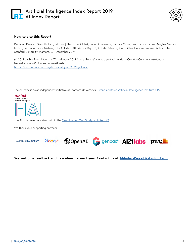## **1** Artificial Intelligence Index Report 2019 **AI** AI Index Report



#### **How to cite this Report:**

Raymond Perrault, Yoav Shoham, Erik Brynjolfsson, Jack Clark, John Etchemendy, Barbara Grosz, Terah Lyons, James Manyika, Saurabh Mishra, and Juan Carlos Niebles, "The AI Index 2019 Annual Report", AI Index Steering Committee, Human-Centered AI Institute, Stanford University, Stanford, CA, December 2019.

(c) 2019 by Stanford University, "The AI Index 2019 Annual Report" is made available under a Creative Commons Attribution-NoDerivatives 4.0 License (International) <https://creativecommons.org/licenses/by-nd/4.0/legalcode>

The AI Index is as an independent initiative at Stanford University's [Human-Centered Artificial Intelligence Institute \(HAI\)](http://hai.stanford.edu).

Stanford Human-Centered<br>Artificial Intelligence



The AI Index was conceived within the [One Hundred Year Study on AI \(AI100\)](https://ai100.stanford.edu/).

We thank your supporting partners



**We welcome feedback and new ideas for next year. Contact us at [AI-Index-Report@stanford.edu.](mailto:AI-Index-Report%40stanford.edu?subject=AI%20Index%20Feedback%20and%20New%20Ideas)**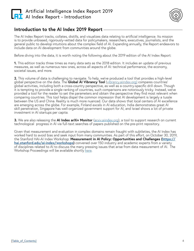<span id="page-4-0"></span>



## **Introduction to the AI Index 2019 Report**

The AI Index Report tracks, collates, distills, and visualizes data relating to artificial intelligence. Its mission is to provide unbiased, rigorously-vetted data for policymakers, researchers, executives, journalists, and the general public to develop intuitions about the complex field of AI. Expanding annually, the Report endeavors to include data on AI development from communities around the globe.

Before diving into the data, it is worth noting the following about the 2019 edition of the AI Index Report:

**1.** This edition tracks three times as many data sets as the 2018 edition. It includes an update of previous measures, as well as numerous new ones, across all aspects of AI: technical performance, the economy, societal issues, and more.

**2.** This volume of data is challenging to navigate. To help, we've produced a tool that provides a high-level global perspective on the data. The **Global AI Vibrancy Tool** [\(vibrancy.aiindex.org](http://vibrancy.aiindex.org)) compares countries' global activities, including both a cross-country perspective, as well as a country-specific drill down. Though it is tempting to provide a single ranking of countries, such comparisons are notoriously tricky. Instead, we've provided a tool for the reader to set the parameters and obtain the perspective they find most relevant when comparing countries. This tool helps dispel the common impression that AI development is largely a tussle between the US and China. Reality is much more nuanced. Our data shows that local centers of AI excellence are emerging across the globe. For example, Finland excels in AI education, India demonstrates great AI skill penetration, Singapore has well-organized government support for AI, and Israel shows a lot of private investment in AI startups per capita.

**3.** We are also releasing the **AI Index arXiv Monitor** [\(arxiv.aiindex.org\)](http://arxiv.aiindex.org), a tool to support research on current technological progress in AI via full-text searches of papers published on the pre-print repository.

Given that measurement and evaluation in complex domains remain fraught with subtleties, the AI Index has worked hard to avoid bias and seek input from many communities. As part of this effort, on October 30, 2019, the Stanford HAI-AI Index Workshop: **Measurement in AI Policy: Opportunities and Challenges [\(https://](https://hai.stanford.edu/ai-index/workshops) [hai.stanford.edu/ai-index/workshops\)](https://hai.stanford.edu/ai-index/workshops)** convened over 150 industry and academic experts from a variety of disciplines related to AI to discuss the many pressing issues that arise from data measurement of AI. The Workshop Proceedings will be available shortly [here](https://hai.stanford.edu/ai-index/workshops).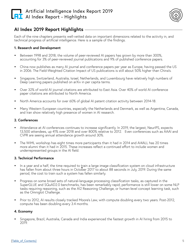

## <span id="page-5-0"></span>**AI Index 2019 Report Highlights**

Each of the nine chapters presents well-vetted data on important dimensions related to the activity in, and technical progress of artificial intelligence. Here is a sample of the findings.

## **1. Research and Development**

- **•** Between 1998 and 2018, the volume of peer-reviewed AI papers has grown by more than 300%, accounting for 3% of peer-reviewed journal publications and 9% of published conference papers.
- **•** China now publishes as many AI journal and conference papers per year as Europe, having passed the US in 2006. The Field-Weighted Citation Impact of US publications is still about 50% higher than China's.
- **•** Singapore, Switzerland, Australia, Israel, Netherlands, and Luxembourg have relatively high numbers of Deep Learning papers published on arXiv in per capita terms.
- **•** Over 32% of world AI journal citations are attributed to East Asia. Over 40% of world AI conference paper citations are attributed to North America.
- **•** North America accounts for over 60% of global AI patent citation activity between 2014-18.
- **•** Many Western European countries, especially the Netherlands and Denmark, as well as Argentina, Canada, and Iran show relatively high presence of women in AI research.

## **2. Conferences**

- **•** Attendance at AI conferences continues to increase significantly. In 2019, the largest, NeurIPS, expects 13,500 attendees, up 41% over 2018 and over 800% relative to 2012. Even conferences such as AAAI and CVPR are seeing annual attendance growth around 30%.
- **•** The WiML workshop has eight times more participants than it had in 2014 and AI4ALL has 20 times more alumni than it had in 2015. These increases reflect a continued effort to include women and underrepresented groups in the AI field.

#### **3. Technical Performance**

- **•** In a year and a half, the time required to train a large image classification system on cloud infrastructure In a year and a nan, the time required to giant a large linage classification system on cloud limastructure.<br>has fallen from about three hours in October 2017 to about 88 seconds in July, 2019. During the same period, the cost to train such a system has fallen similarly.
- **•** Progress on some broad sets of natural-language processing classification tasks, as captured in the SuperGLUE and SQuAD2.0 benchmarks, has been remarkably rapid; performance is still lower on some NLP tasks requiring reasoning, such as the AI2 Reasoning Challenge, or human-level concept learning task, such as the Omniglot Challenge.
- **•** Prior to 2012, AI results closely tracked Moore's Law, with compute doubling every two years. Post-2012, compute has been doubling every 3.4 months.

#### **4. Economy**

**•** Singapore, Brazil, Australia, Canada and India experienced the fastest growth in AI hiring from 2015 to 2019.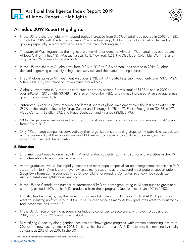

## **AI Index 2019 Report Highlights**

- **•** In the US, the share of jobs in AI-related topics increased from 0.26% of total jobs posted in 2010 to 1.32% in October 2019, with the highest share in Machine Learning (0.51% of total jobs). AI labor demand is growing especially in high-tech services and the manufacturing sector.
- **•** The state of Washington has the highest relative AI labor demand. Almost 1.4% of total jobs posted are AI jobs. California has 1.3%, Massachusetts 1.3%, New York 1.2%, the District of Columbia (DC) 1.1%, and Virginia has 1% online jobs posted in AI.
- **•** In the US, the share of AI jobs grew from 0.3% in 2012 to 0.8% of total jobs posted in 2019. AI labor demand is growing especially in high-tech services and the manufacturing sector.
- **•** In 2019, global private AI investment was over \$70B, with AI-related startup investments over \$37B, M&A \$34B, IPOs \$5B, and Minority Stake valued around \$2B.
- **•** Globally, investment in AI startups continues its steady ascent. From a total of \$1.3B raised in 2010 to over \$40.4B in 2018 (with \$37.4B in 2019 as of November 4th), funding has increased at an average annual growth rate of over 48%.
- **•** Autonomous Vehicles (AVs) received the largest share of global investment over the last year with \$7.7B (9.9% of the total), followed by Drug, Cancer and Therapy (\$4.7B, 6.1%), Facial Recognition (\$4.7B, 6.0%), Video Content (\$3.6B, 4.5%), and Fraud Detection and Finance (\$3.1B, 3.9%).
- **•** 58% of large companies surveyed report adopting AI in at least one function or business unit in 2019, up from 47% in 2018.
- **•** Only 19% of large companies surveyed say their organizations are taking steps to mitigate risks associated with explainability of their algorithms, and 13% are mitigating risks to equity and fairness, such as algorithmic bias and discrimination

## **5. Education**

- **•** Enrollment continues to grow rapidly in AI and related subjects, both at traditional universities in the US and internationally, and in online offerings.
- **•** At the graduate level, AI has rapidly become the most popular specialization among computer science PhD students in North America, with over twice as many students as the second most popular specialization (security/information assurance). In 2018, over 21% of graduating Computer Science PhDs specialize in Artificial Intelligence/Machine Learning.
- **•** In the US and Canada, the number of international PhD students graduating in AI continues to grow, and currently exceeds 60% of the PhDs produced from these programs (up from less than 40% in 2010).
- **•** Industry has become, by far, the largest consumer of AI talent. In 2018, over 60% of AI PhD graduates went to industry, up from 20% in 2004. In 2018, over twice as many AI PhD graduates went to industry as took academic jobs in the US.
- **•** In the US, AI faculty leaving academia for industry continues to accelerate, with over 40 departures in 2018, up from 15 in 2012 and none in 2004.
- **•** Diversifying AI faculty along gender lines has not shown great progress, with women comprising less than 20% of the new faculty hires in 2018. Similarly, the share of female AI PhD recipients has remained virtually constant at 20% since 2010 in the US.<sup>1</sup>

<sup>1</sup> Studies on participation of under-represented minorities coming in 2020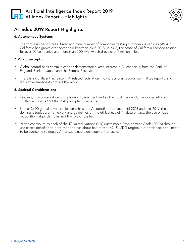



## **AI Index 2019 Report Highlights**

#### **6. Autonomous Systems**

**•** The total number of miles driven and total number of companies testing autonomous vehicles (AVs) in California has grown over seven-fold between 2015-2018. In 2018, the State of California licensed testing for over 50 companies and more than 500 AVs, which drove over 2 million miles.

#### **7. Public Perception**

- **•** Global central bank communications demonstrate a keen interest in AI, especially from the Bank of England, Bank of Japan, and the Federal Reserve.
- **•** There is a significant increase in AI related legislation in congressional records, committee reports, and legislative transcripts around the world.

#### **8. Societal Considerations**

- **•** Fairness, Interpretability and Explainability are identified as the most frequently mentioned ethical challenges across 59 Ethical AI principle documents.
- **•** In over 3600 global news articles on ethics and AI identified between mid-2018 and mid-2019, the dominant topics are framework and guidelines on the ethical use of AI, data privacy, the use of face recognition, algorithm bias and the role of big tech.
- **•** AI can contribute to each of the 17 United Nations (UN) Sustainable Development Goals (SDGs) through use cases identified to-date that address about half of the 169 UN SDG targets, but bottlenecks still need to be overcome to deploy AI for sustainable development at scale.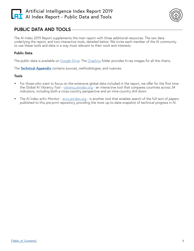



## **PUBLIC DATA AND TOOLS**

The AI Index 2019 Report supplements the main report with three additional resources: The raw data underlying the report, and two interactive tools, detailed below. We invite each member of the AI community to use these tools and data in a way most relevant to their work and interests.

## **Public Data**

The public data is available on [Google Drive](https://drive.google.com/drive/folders/1Tl2HyuXHTGufDTsF-h0cb0InlMD3gvSQ?usp=sharing). The [Graphics](https://drive.google.com/drive/folders/1LZzGSXr_N22vudJvlcUtmXHN6mayk0KC?usp=sharing) folder provides hi-res images for all the charts.

The **[Technical Appendix](#page--1-0)** contains sources, methodologies, and nuances.

#### **Tools**

- **•** For those who want to focus on the extensive global data included in the report, we offer for the first time the Global AI Vibrancy Tool - [vibrancy.aiindex.org](http://vibrancy.aiindex.org) - an interactive tool that compares countries across 34 indicators, including both a cross-country perspective and an intra-country drill down.
- **•** The AI Index arXiv Monitor - [arxiv.aiindex.org](http://arxiv.aiindex.org)  is another tool that enables search of the full text of papers published to this pre-print repository, providing the most up-to-date snapshot of technical progress in AI.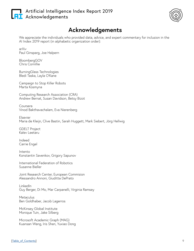## <span id="page-9-0"></span>Artificial Intelligence Index Report 2019 **AT** Acknowledgements



# **Acknowledgements**

We appreciate the individuals who provided data, advice, and expert commentary for inclusion in the AI Index 2019 report (in alphabetic organization order):

arXiv Paul Ginsparg, Joe Halpern

BloombergGOV Chris Cornillie

BurningGlass Technologies Bledi Taska, Layla O'Kane

Campaign to Stop Killer Robots Marta Kosmyna

Computing Research Association (CRA) Andrew Bernat, Susan Davidson, Betsy Bizot

Coursera Vinod Bakthavachalam, Eva Nierenberg

Elsevier Maria de Kleijn, Clive Bastin, Sarah Huggett, Mark Siebert, Jörg Hellwig

GDELT Project Kalev Leetaru

Indeed Carrie Engel

Intento Konstantin Savenkov, Grigory Sapunov

International Federation of Robotics Susanne Bieller

Joint Research Center, European Commision Alessandro Annoni, Giuditta DePrato

LinkedIn Guy Berger, Di Mo, Mar Carpanelli, Virginia Ramsey

**Metaculus** Ben Goldhaber, Jacob Lagerros

McKinsey Global Institute Monique Tuin, Jake Silberg

Microsoft Academic Graph (MAG) Kuansan Wang, Iris Shen, Yuxiao Dong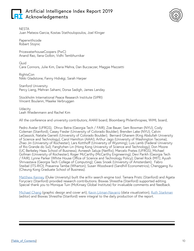## Artificial Intelligence Index Report 2019 **RI** Acknowledgements



NESTA Juan Mateos-Garcia, Kostas Stathoulopoulos, Joel Klinger

Paperwithcode Robert Stojnic

PricewaterhouseCoopers (PwC) Anand Rao, Ilana Golbin, Vidhi Tembhurnikar

Quid Cara Connors, Julie Kim, Daria Mehra, Dan Buczaczer, Maggie Mazzetti

RightsCon Nikki Gladstone, Fanny Hidvégi, Sarah Harper

Stanford University Percy Liang, Mehran Sahami, Dorsa Sadigh, James Landay

Stockholm International Peace Research Institute (SIPRI) Vincent Boulanin, Maaike Verbruggen

Udacity Leah Wiedenmann and Rachel Kim

All the conference and university contributors; AI4All board; Bloomberg Philanthropies; WiML board;

Pedro Avelar (UFRGS), Dhruv Batra (Georgia Tech / FAIR); Zoe Bauer; Sam Bowman (NYU); Cody Coleman (Stanford); Casey Fiesler (University of Colorado Boulder); Brenden Lake (NYU); Calvin LeGassick; Natalie Garrett (University of Colorado Boulder); Bernard Ghanem (King Abdullah University of Science and Technology); Carol Hamilton (AAAI); Arthur Jago (University of Washington Tacoma); Zhao Jin (University of Rochester); Lars Kotthoff (University of Wyoming); Luis Lamb (Federal University of Rio Grande do Sul); Fanghzhen Lin (Hong Kong University of Science and Technology); Don Moore (UC Berkeley Haas School of Business), Avneesh Saluja (Netflix), Marcelo Prates (UFRGS), Michael Gofman (University of Rochester); Roger McCarthy (McCarthy Engineering); Devi Parikh (Georgia Tech / FAIR); Lynne Parker (White House Office of Science and Technology Policy); Daniel Rock (MIT); Ayush Shrivastava (Georgia Tech College of Computing); Cees Snoek (University of Amsterdam); Fabro Steibel (ITS-RIO); Prasanna Tambe (Wharton); Susan Woodward (Sandhill Econometrics); Chenggang Xu (Cheung Kong Graduate School of Business).

[Matthew Kenney](http://matthewkenney.site/about.html) (Duke University) built the arXiv search engine tool. Tamara Pristc (Stanford) and Agata Foryciarz (Stanford) provided research contributions. Biswas Shrestha (Stanford) supported editing. Special thank you to Monique Tuin (McKinsey Global Institute) for invaluable comments and feedback.

[Michael Chang](http://www.michaelchang.us/) (graphic design and cover art), [Kevin Litman-Navarro](https://kevinlitman-navarro.github.io/) (data visualization), [Ruth Starkman](https://undergrad.stanford.edu/people/ruth-starkman) (editor) and Biswas Shrestha (Stanford) were integral to the daily production of the report.